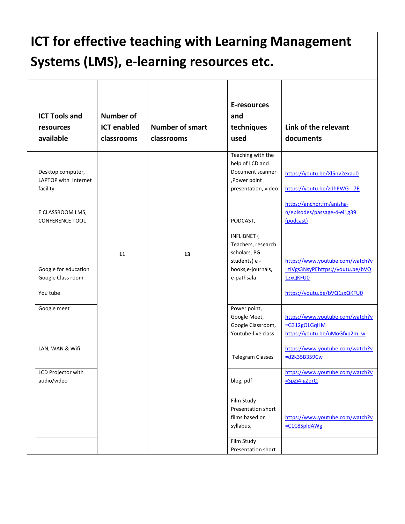# **ICT for effective teaching with Learning Management Systems (LMS), e-learning resources etc.**

| <b>ICT Tools and</b><br><b>resources</b><br>available | <b>Number of</b><br><b>ICT enabled</b><br>classrooms | <b>Number of smart</b><br>classrooms | E-resources<br>and<br>techniques<br>used                                                                     | Link of the relevant<br>documents                                               |
|-------------------------------------------------------|------------------------------------------------------|--------------------------------------|--------------------------------------------------------------------------------------------------------------|---------------------------------------------------------------------------------|
| Desktop computer,<br>LAPTOP with Internet<br>facility |                                                      |                                      | Teaching with the<br>help of LCD and<br>Document scanner<br>,Power point<br>presentation, video              | https://youtu.be/Xl5nv2exau0<br>https://youtu.be/zjJhPWG-7E                     |
| E CLASSROOM LMS,<br><b>CONFERENCE TOOL</b>            |                                                      |                                      | PODCAST,                                                                                                     | https://anchor.fm/anisha-<br>n/episodes/passage-4-ei1g39<br>(podcast)           |
| Google for education<br>Google Class room             | 11                                                   | 13                                   | <b>INFLIBNET (</b><br>Teachers, research<br>scholars, PG<br>students) e -<br>books,e-journals,<br>e-pathsala | https://www.youtube.com/watch?v<br>=tIVgs3NsyPEhttps://youtu.be/bVQ<br>1zxQKFU0 |
| You tube                                              |                                                      |                                      |                                                                                                              | https://youtu.be/bVQ1zxQKFU0                                                    |
| Google meet                                           |                                                      |                                      | Power point,<br>Google Meet,<br>Google Classroom,<br>Youtube-live class                                      | https://www.youtube.com/watch?v<br>=G312gOLGqHM<br>https://youtu.be/uMoGfxp2m_w |
| LAN, WAN & Wifi                                       |                                                      |                                      | <b>Telegram Classes</b>                                                                                      | https://www.youtube.com/watch?v<br>=d2k35B359Cw                                 |
| LCD Projector with<br>audio/video                     |                                                      |                                      | blog, pdf                                                                                                    | https://www.youtube.com/watch?v<br>$=$ SpZi4-gZqrQ                              |
|                                                       |                                                      |                                      | Film Study<br>Presentation short<br>films based on<br>syllabus,                                              | https://www.youtube.com/watch?v<br>$=C1C8SpIdAWg$                               |
|                                                       |                                                      |                                      | Film Study<br>Presentation short                                                                             |                                                                                 |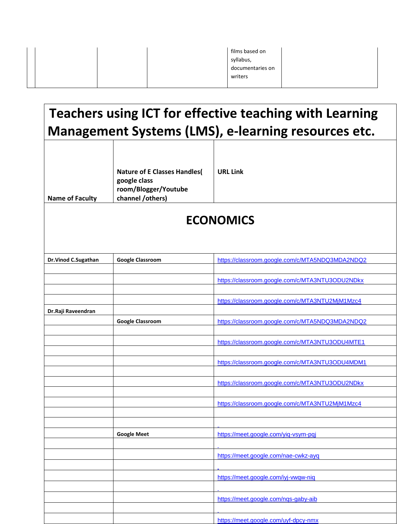|  | films based on   |
|--|------------------|
|  | syllabus,        |
|  | documentaries on |
|  | writers          |
|  |                  |

## **Teachers using ICT for effective teaching with Learning Management Systems (LMS), e-learning resources etc.**

| <b>Nature of E Classes Handles(</b><br><b>URL Link</b><br>google class<br>room/Blogger/Youtube<br>channel /others)<br><b>Name of Faculty</b> |  |
|----------------------------------------------------------------------------------------------------------------------------------------------|--|
|----------------------------------------------------------------------------------------------------------------------------------------------|--|

#### **ECONOMICS**

| Dr.Vinod C.Sugathan | <b>Google Classroom</b> | https://classroom.google.com/c/MTA5NDQ3MDA2NDQ2 |
|---------------------|-------------------------|-------------------------------------------------|
|                     |                         |                                                 |
|                     |                         | https://classroom.google.com/c/MTA3NTU3ODU2NDkx |
|                     |                         |                                                 |
|                     |                         |                                                 |
|                     |                         | https://classroom.google.com/c/MTA3NTU2MjM1Mzc4 |
| Dr.Raji Raveendran  |                         |                                                 |
|                     | <b>Google Classroom</b> | https://classroom.google.com/c/MTA5NDQ3MDA2NDQ2 |
|                     |                         |                                                 |
|                     |                         | https://classroom.google.com/c/MTA3NTU3ODU4MTE1 |
|                     |                         |                                                 |
|                     |                         | https://classroom.google.com/c/MTA3NTU3ODU4MDM1 |
|                     |                         |                                                 |
|                     |                         |                                                 |
|                     |                         | https://classroom.google.com/c/MTA3NTU3ODU2NDkx |
|                     |                         |                                                 |
|                     |                         | https://classroom.google.com/c/MTA3NTU2MjM1Mzc4 |
|                     |                         |                                                 |
|                     |                         |                                                 |
|                     | <b>Google Meet</b>      | https://meet.google.com/yig-vsym-pqj            |
|                     |                         |                                                 |
|                     |                         |                                                 |
|                     |                         | https://meet.google.com/nae-cwkz-ayg            |
|                     |                         |                                                 |
|                     |                         | https://meet.google.com/iyj-vwqw-niq            |
|                     |                         |                                                 |
|                     |                         | https://meet.google.com/nqs-gaby-aib            |
|                     |                         |                                                 |
|                     |                         |                                                 |
|                     |                         | https://meet.google.com/uyf-dpcy-nmx            |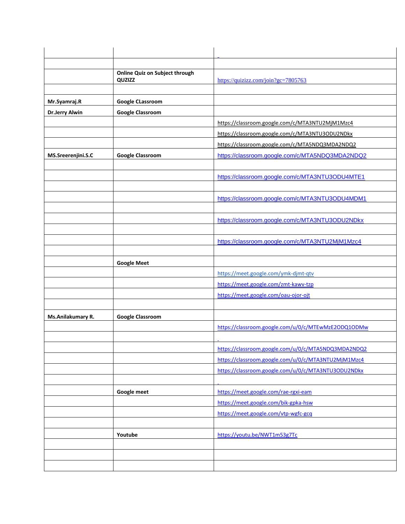|                       | Online Quiz on Subject through<br>QUZIZZ | https://quizizz.com/join?gc=7805763                 |
|-----------------------|------------------------------------------|-----------------------------------------------------|
|                       |                                          |                                                     |
| Mr.Syamraj.R          | <b>Google CLassroom</b>                  |                                                     |
| <b>Dr.Jerry Alwin</b> | <b>Google Classroom</b>                  |                                                     |
|                       |                                          | https://classroom.google.com/c/MTA3NTU2MjM1Mzc4     |
|                       |                                          | https://classroom.google.com/c/MTA3NTU3ODU2NDkx     |
|                       |                                          | https://classroom.google.com/c/MTA5NDQ3MDA2NDQ2     |
| MS.Sreerenjini.S.C    | <b>Google Classroom</b>                  | https://classroom.google.com/c/MTA5NDQ3MDA2NDQ2     |
|                       |                                          |                                                     |
|                       |                                          | https://classroom.google.com/c/MTA3NTU3ODU4MTE1     |
|                       |                                          |                                                     |
|                       |                                          | https://classroom.google.com/c/MTA3NTU3ODU4MDM1     |
|                       |                                          |                                                     |
|                       |                                          | https://classroom.google.com/c/MTA3NTU3ODU2NDkx     |
|                       |                                          |                                                     |
|                       |                                          | https://classroom.google.com/c/MTA3NTU2MjM1Mzc4     |
|                       |                                          |                                                     |
|                       | <b>Google Meet</b>                       |                                                     |
|                       |                                          | https://meet.google.com/ymk-djmt-qtv                |
|                       |                                          | https://meet.google.com/zmt-kawv-tzp                |
|                       |                                          | https://meet.google.com/oau-ojor-ojt                |
|                       |                                          |                                                     |
| Ms.Anilakumary R.     | <b>Google Classroom</b>                  |                                                     |
|                       |                                          | https://classroom.google.com/u/0/c/MTEwMzE2ODQ1ODMw |
|                       |                                          |                                                     |
|                       |                                          | https://classroom.google.com/u/0/c/MTA5NDQ3MDA2NDQ2 |
|                       |                                          | https://classroom.google.com/u/0/c/MTA3NTU2MjM1Mzc4 |
|                       |                                          | https://classroom.google.com/u/0/c/MTA3NTU3ODU2NDkx |
|                       |                                          |                                                     |
|                       | Google meet                              | https://meet.google.com/rae-rgxi-eam                |
|                       |                                          | https://meet.google.com/bik-gpka-hsw                |
|                       |                                          | https://meet.google.com/vtp-wgfc-gcq                |
|                       |                                          |                                                     |
|                       | Youtube                                  | https://youtu.be/NWT1m53g7Tc                        |
|                       |                                          |                                                     |
|                       |                                          |                                                     |
|                       |                                          |                                                     |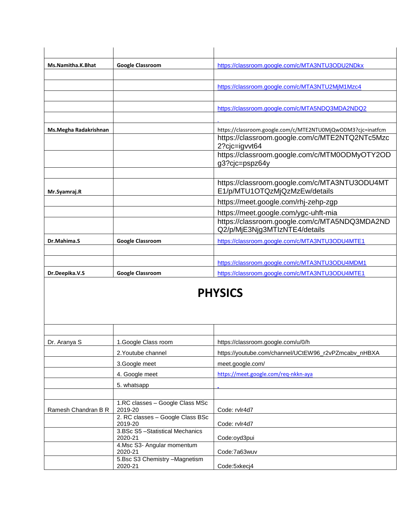| Ms.Namitha.K.Bhat     | <b>Google Classroom</b> | https://classroom.google.com/c/MTA3NTU3ODU2NDkx                                                                                |
|-----------------------|-------------------------|--------------------------------------------------------------------------------------------------------------------------------|
|                       |                         |                                                                                                                                |
|                       |                         | https://classroom.google.com/c/MTA3NTU2MjM1Mzc4                                                                                |
|                       |                         | https://classroom.google.com/c/MTA5NDQ3MDA2NDQ2                                                                                |
|                       |                         |                                                                                                                                |
| Ms.Megha Radakrishnan |                         | https://classroom.google.com/c/MTE2NTU0MjQwODM3?cjc=inatfcm<br>https://classroom.google.com/c/MTE2NTQ2NTc5Mzc<br>2?cjc=igvvt64 |
|                       |                         | https://classroom.google.com/c/MTM0ODMyOTY2OD<br>g3?cjc=pspz64y                                                                |
| Mr.Syamraj.R          |                         | https://classroom.google.com/c/MTA3NTU3ODU4MT<br>E1/p/MTU1OTQzMjQzMzEw/details                                                 |
|                       |                         | https://meet.google.com/rhj-zehp-zgp                                                                                           |
|                       |                         | https://meet.google.com/ygc-uhft-mia                                                                                           |
|                       |                         | https://classroom.google.com/c/MTA5NDQ3MDA2ND<br>Q2/p/MjE3Njg3MTIzNTE4/details                                                 |
| Dr.Mahima.S           | <b>Google Classroom</b> | https://classroom.google.com/c/MTA3NTU3ODU4MTE1                                                                                |
|                       |                         | https://classroom.google.com/c/MTA3NTU3ODU4MDM1                                                                                |
| Dr.Deepika.V.S        | <b>Google Classroom</b> | https://classroom.google.com/c/MTA3NTU3ODU4MTE1                                                                                |

#### **PHYSICS**

| Dr. Aranya S        | 1. Google Class room                        | https://classroom.google.com/u/0/h                   |
|---------------------|---------------------------------------------|------------------------------------------------------|
|                     | 2. Youtube channel                          | https://youtube.com/channel/UCtEW96_r2vPZmcabv_nHBXA |
|                     | 3. Google meet                              | meet.google.com/                                     |
|                     | 4. Google meet                              | https://meet.google.com/req-nkkn-aya                 |
|                     | 5. whatsapp                                 |                                                      |
|                     |                                             |                                                      |
| Ramesh Chandran B R | 1.RC classes - Google Class MSc<br>2019-20  | Code: rvlr4d7                                        |
|                     | 2. RC classes - Google Class BSc<br>2019-20 | Code: rvlr4d7                                        |
|                     | 3.BSc S5 - Statistical Mechanics<br>2020-21 | Code:oyd3pui                                         |
|                     | 4. Msc S3- Angular momentum<br>2020-21      | Code:7a63wuv                                         |
|                     | 5.Bsc S3 Chemistry -Magnetism<br>2020-21    | Code:5xkeci4                                         |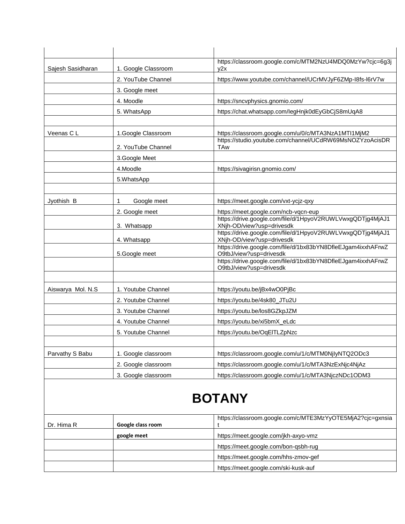| Sajesh Sasidharan | 1. Google Classroom | https://classroom.google.com/c/MTM2NzU4MDQ0MzYw?cjc=6g3j<br>v2x                                                                                                                                                                                                                                                                                                        |
|-------------------|---------------------|------------------------------------------------------------------------------------------------------------------------------------------------------------------------------------------------------------------------------------------------------------------------------------------------------------------------------------------------------------------------|
|                   | 2. YouTube Channel  | https://www.youtube.com/channel/UCrMVJyF6ZMp-l8fs-l6rV7w                                                                                                                                                                                                                                                                                                               |
|                   | 3. Google meet      |                                                                                                                                                                                                                                                                                                                                                                        |
|                   | 4. Moodle           | https://sncvphysics.gnomio.com/                                                                                                                                                                                                                                                                                                                                        |
|                   | 5. WhatsApp         | https://chat.whatsapp.com/legHnjk0dEyGbCjS8mUqA8                                                                                                                                                                                                                                                                                                                       |
| Veenas CL         | 1.Google Classroom  | https://classroom.google.com/u/0/c/MTA3NzA1MTI1MjM2                                                                                                                                                                                                                                                                                                                    |
|                   | 2. YouTube Channel  | https://studio.youtube.com/channel/UCdRW69MsNOZYzoAcisDR<br>TAw                                                                                                                                                                                                                                                                                                        |
|                   | 3.Google Meet       |                                                                                                                                                                                                                                                                                                                                                                        |
|                   | 4.Moodle            | https://sivagirisn.gnomio.com/                                                                                                                                                                                                                                                                                                                                         |
|                   | 5.WhatsApp          |                                                                                                                                                                                                                                                                                                                                                                        |
| Jyothish B        | 1<br>Google meet    | https://meet.google.com/vxt-ycjz-gxy                                                                                                                                                                                                                                                                                                                                   |
|                   | 2. Google meet      | https://meet.google.com/ncb-vqcn-eup                                                                                                                                                                                                                                                                                                                                   |
|                   | 3. Whatsapp         | XNih-OD/view?usp=drivesdk                                                                                                                                                                                                                                                                                                                                              |
|                   | 4. Whatsapp         | XNjh-OD/view?usp=drivesdk                                                                                                                                                                                                                                                                                                                                              |
|                   | 5.Google meet       | O9tbJ/view?usp=drivesdk                                                                                                                                                                                                                                                                                                                                                |
|                   |                     | O9tbJ/view?usp=drivesdk                                                                                                                                                                                                                                                                                                                                                |
|                   |                     |                                                                                                                                                                                                                                                                                                                                                                        |
| Aiswarya Mol. N.S | 1. Youtube Channel  | https://youtu.be/jBx4wO0PjBc                                                                                                                                                                                                                                                                                                                                           |
|                   | 2. Youtube Channel  | https://youtu.be/4sk80_JTu2U                                                                                                                                                                                                                                                                                                                                           |
|                   | 3. Youtube Channel  | https://youtu.be/los8GZkpJZM                                                                                                                                                                                                                                                                                                                                           |
|                   | 4. Youtube Channel  | https://youtu.be/xi5bmX_eLdc                                                                                                                                                                                                                                                                                                                                           |
|                   | 5. Youtube Channel  | https://youtu.be/OqEITLZpNzc                                                                                                                                                                                                                                                                                                                                           |
| Parvathy S Babu   |                     |                                                                                                                                                                                                                                                                                                                                                                        |
|                   | 2. Google classroom |                                                                                                                                                                                                                                                                                                                                                                        |
|                   | 3. Google classroom | https://classroom.google.com/u/1/c/MTA3NjczNDc1ODM3                                                                                                                                                                                                                                                                                                                    |
|                   | 1. Google classroom | https://drive.google.com/file/d/1HpyoV2RUWLVwxgQDTjg4MjAJ1<br>https://drive.google.com/file/d/1HpyoV2RUWLVwxgQDTjg4MjAJ1<br>https://drive.google.com/file/d/1bx83bYN8DfleEJgam4ixxhAFrwZ<br>https://drive.google.com/file/d/1bx83bYN8DfleEJgam4ixxhAFrwZ<br>https://classroom.google.com/u/1/c/MTM0NjlyNTQ2ODc3<br>https://classroom.google.com/u/1/c/MTA3NzExNjc4NjAz |

### **BOTANY**

| Dr. Hima R | Google class room | https://classroom.google.com/c/MTE3MzYyOTE5MjA2?cjc=gxnsia |
|------------|-------------------|------------------------------------------------------------|
|            | google meet       | https://meet.google.com/jkh-axyo-vmz                       |
|            |                   | https://meet.google.com/bon-gsbh-rug                       |
|            |                   | https://meet.google.com/hhs-zmov-gef                       |
|            |                   | https://meet.google.com/ski-kusk-auf                       |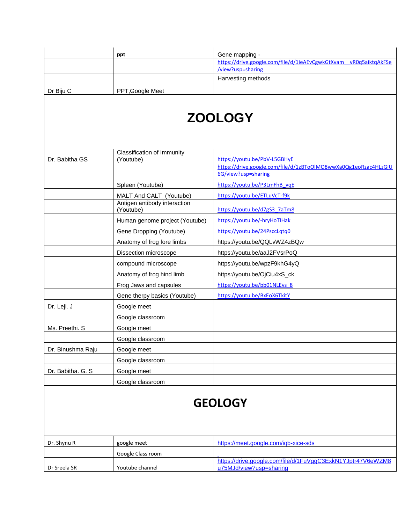|           | ppt              | Gene mapping -                                                   |
|-----------|------------------|------------------------------------------------------------------|
|           |                  | https://drive.google.com/file/d/1ieAEvCgwkGtXvam vR0q5aiktqAkFSe |
|           |                  | /view?usp=sharing                                                |
|           |                  | Harvesting methods                                               |
| Dr Biju C | PPT, Google Meet |                                                                  |

## **ZOOLOGY**

|                    | <b>Classification of Immunity</b>         |                                                                                                 |
|--------------------|-------------------------------------------|-------------------------------------------------------------------------------------------------|
| Dr. Babitha GS     | (Youtube)                                 | https://youtu.be/PbV-L5GBHyE<br>https://drive.google.com/file/d/1zBToOlMO8wwXa0Qg1eoRzac4HLzGjU |
|                    |                                           | 6G/view?usp=sharing                                                                             |
|                    |                                           |                                                                                                 |
|                    | Spleen (Youtube)                          | https://youtu.be/P3LmFhB vqE                                                                    |
|                    | MALT And CALT (Youtube)                   | https://youtu.be/ETLuVcT-f9k                                                                    |
|                    | Antigen antibody interaction<br>(Youtube) | https://youtu.be/d7gS3_7aTm8                                                                    |
|                    | Human genome project (Youtube)            | https://youtu.be/-hryHoTlHak                                                                    |
|                    | Gene Dropping (Youtube)                   | https://youtu.be/24PsccLqtq0                                                                    |
|                    | Anatomy of frog fore limbs                | https://youtu.be/QQLvWZ4zBQw                                                                    |
|                    | Dissection microscope                     | https://youtu.be/aaJ2FVsrPoQ                                                                    |
|                    | compound microscope                       | https://youtu.be/wpzF9khG4yQ                                                                    |
|                    | Anatomy of frog hind limb                 | https://youtu.be/OjCiu4xS_ck                                                                    |
|                    | Frog Jaws and capsules                    | https://youtu.be/bb01NLEvs 8                                                                    |
|                    | Gene therpy basics (Youtube)              | https://youtu.be/BxEoX6TkitY                                                                    |
| Dr. Leji. J        | Google meet                               |                                                                                                 |
|                    | Google classroom                          |                                                                                                 |
| Ms. Preethi. S     | Google meet                               |                                                                                                 |
|                    | Google classroom                          |                                                                                                 |
| Dr. Binushma Raju  | Google meet                               |                                                                                                 |
|                    | Google classroom                          |                                                                                                 |
| Dr. Babitha. G. S. | Google meet                               |                                                                                                 |
|                    | Google classroom                          |                                                                                                 |
|                    |                                           |                                                                                                 |

#### **GEOLOGY**

| Dr. Shvnu R  | google meet       | https://meet.google.com/igb-xice-sds                        |
|--------------|-------------------|-------------------------------------------------------------|
|              | Google Class room |                                                             |
|              |                   | https://drive.google.com/file/d/1FuVggC3ExkN1YJptr47V6eWZM8 |
| Dr Sreela SR | Youtube channel   | u75MJd/view?usp=sharing                                     |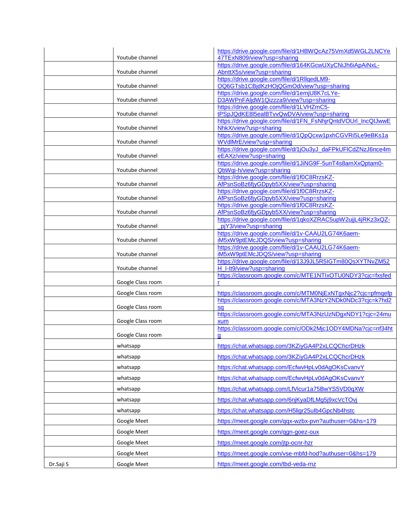|           |                   | https://drive.google.com/file/d/1HBWQcAz75VmXd5WGL2LNCYe                                                   |
|-----------|-------------------|------------------------------------------------------------------------------------------------------------|
|           | Youtube channel   | 47TExN809/view?usp=sharing<br>https://drive.google.com/file/d/164KGcwUXyCNiJh6iApAiNxL-                    |
|           | Youtube channel   | AbnttX5s/view?usp=sharing                                                                                  |
|           | Youtube channel   | https://drive.google.com/file/d/1RllqedLM9-<br>OQ6GTsb1CBjdKzHOjQGmOd/view?usp=sharing                     |
|           |                   | https://drive.google.com/file/d/1emjU8K7cLYe-                                                              |
|           | Youtube channel   | D3AWPnFAljdW1Qizzza9/view?usp=sharing                                                                      |
|           | Youtube channel   | https://drive.google.com/file/d/1LVHZmC5-                                                                  |
|           |                   | tPSpJQdKE8I5ealBTvvQwDVA/view?usp=sharing<br>https://drive.google.com/file/d/1FN_FsNhjrQntdVOUrl_IncQIJwwE |
|           | Youtube channel   | NhkX/view?usp=sharing                                                                                      |
|           | Youtube channel   | https://drive.google.com/file/d/1QpQcxw1pxhCGVRi5Le9eBKs1a<br>WVdlMrE/view?usp=sharing                     |
|           |                   | https://drive.google.com/file/d/1jOu3yJ_daFPkUFICdZNzJ6nce4m                                               |
|           | Youtube channel   | eEAXz/view?usp=sharing<br>https://drive.google.com/file/d/1JiNG9F-5unT4s8amXxQptam0-                       |
|           | Youtube channel   | QbWqi-h/view?usp=sharing                                                                                   |
|           |                   | https://drive.google.com/file/d/1f0C8RrzsKZ-                                                               |
|           | Youtube channel   | AfPsnSoBz6fjyGDpyb5XX/view?usp=sharing                                                                     |
|           | Youtube channel   | https://drive.google.com/file/d/1f0C8RrzsKZ-<br>AfPsnSoBz6fjyGDpyb5XX/view?usp=sharing                     |
|           |                   | https://drive.google.com/file/d/1f0C8RrzsKZ-                                                               |
|           | Youtube channel   | AfPsnSoBz6fjyGDpyb5XX/view?usp=sharing                                                                     |
|           | Youtube channel   | https://drive.google.com/file/d/1gkoXZRAC5upW2ujjL4jRKz3xQZ-<br>pjY3/view?usp=sharing                      |
|           |                   | https://drive.google.com/file/d/1v-CAAU2LG74K6aem-                                                         |
|           | Youtube channel   | iM5xW9ptEMcJDQS/view?usp=sharing                                                                           |
|           |                   | https://drive.google.com/file/d/1v-CAAU2LG74K6aem-                                                         |
|           | Youtube channel   | iM5xW9ptEMcJDQS/view?usp=sharing<br>https://drive.google.com/file/d/13J9JL5R5IGTm80QsXYTNvZM52             |
|           | Youtube channel   | H_I-It9/view?usp=sharing                                                                                   |
|           | Google Class room | https://classroom.google.com/c/MTE1NTIxOTU0NDY3?cjc=fxsfed                                                 |
|           | Google Class room | https://classroom.google.com/c/MTM0NjExNTgxNjc2?cjc=pfmqefp                                                |
|           |                   | https://classroom.google.com/c/MTA3NzY2NDk0NDc3?cjc=k7hd2                                                  |
|           | Google Class room | sq                                                                                                         |
|           | Google Class room | https://classroom.google.com/c/MTA3NzUzNDgxNDY1?cjc=24mu<br>xum                                            |
|           |                   | https://classroom.google.com/c/ODk2Mjc1ODY4MDNa?cjc=nf34ht                                                 |
|           | Google Class room | a                                                                                                          |
|           | whatsapp          | https://chat.whatsapp.com/3KZiyGA4P2xLCQChcrDHzk                                                           |
|           | whatsapp          | https://chat.whatsapp.com/3KZiyGA4P2xLCQChcrDHzk                                                           |
|           | whatsapp          | https://chat.whatsapp.com/EcfwvHpLv0dAgOKsCvanvY                                                           |
|           | whatsapp          | https://chat.whatsapp.com/EcfwvHpLv0dAgOKsCvanvY                                                           |
|           | whatsapp          | https://chat.whatsapp.com/LfVicur1a75BwYS5VD0qXW                                                           |
|           | whatsapp          | https://chat.whatsapp.com/6njKyaDfLMg5j9xcVcTOvj                                                           |
|           | whatsapp          | https://chat.whatsapp.com/H5ligr25ulb4GpcNb4hstc                                                           |
|           | Google Meet       | https://meet.google.com/qqx-wzbx-pvn?authuser=0&hs=179                                                     |
|           | Google Meet       | https://meet.google.com/ggn-goez-oux                                                                       |
|           | Google Meet       | https://meet.google.com/jtp-ocnr-hzr                                                                       |
|           | Google Meet       | https://meet.google.com/vse-mbfd-hod?authuser=0&hs=179                                                     |
| Dr.Saji S | Google Meet       | https://meet.google.com/tbd-veda-rnz                                                                       |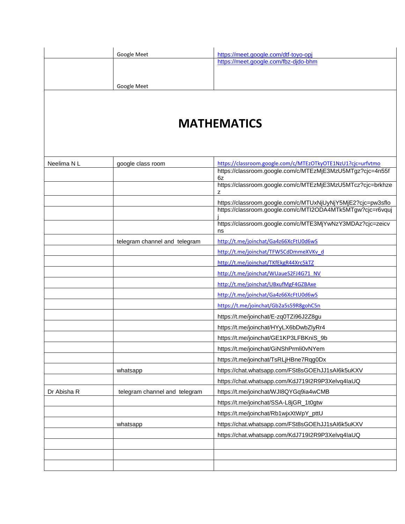| Google Meet | https://meet.google.com/dtf-toyo-opj |
|-------------|--------------------------------------|
|             | https://meet.google.com/fbz-djdo-bhm |
|             |                                      |
| Google Meet |                                      |
|             |                                      |
|             |                                      |

### **MATHEMATICS**

| Neelima NL  | google class room             | https://classroom.google.com/c/MTEzOTkyOTE1NzU1?cjc=urfvtmo     |
|-------------|-------------------------------|-----------------------------------------------------------------|
|             |                               | https://classroom.google.com/c/MTEzMjE3MzU5MTgz?cjc=4n55f<br>6z |
|             |                               | https://classroom.google.com/c/MTEzMjE3MzU5MTcz?cjc=brkhze<br>z |
|             |                               | https://classroom.google.com/c/MTUxNjUyNjY5MjE2?cjc=pw3sflo     |
|             |                               | https://classroom.google.com/c/MTI2ODA4MTk5MTgw?cjc=r6vquj      |
|             |                               | https://classroom.google.com/c/MTE3MjYwNzY3MDAz?cjc=zeicv<br>ns |
|             | telegram channel and telegram | http://t.me/joinchat/Ga4z66XcFtU0d6wS                           |
|             |                               | http://t.me/joinchat/TFW5CdDmmeXVKv d                           |
|             |                               | http://t.me/joinchat/TKfEkgR44Xrc5kTZ                           |
|             |                               | http://t.me/joinchat/WUaueS2FJ4G71 NV                           |
|             |                               | http://t.me/joinchat/UBxufMgF4GZBAxe                            |
|             |                               | http://t.me/joinchat/Ga4z66XcFtU0d6wS                           |
|             |                               | https://t.me/joinchat/Gb2a5s59R8gohC5n                          |
|             |                               | https://t.me/joinchat/E-zq0TZi96J2Z8gu                          |
|             |                               | https://t.me/joinchat/HYyLX6bDwbZlyRr4                          |
|             |                               | https://t.me/joinchat/GE1KP3LFBKniS_9b                          |
|             |                               | https://t.me/joinchat/GiNShPrmli0vNYem                          |
|             |                               | https://t.me/joinchat/TsRLjHBne7Rqg0Dx                          |
|             | whatsapp                      | https://chat.whatsapp.com/FSt8sGOEhJJ1sAl6k5uKXV                |
|             |                               | https://chat.whatsapp.com/KdJ719I2R9P3Xelvq4IaUQ                |
| Dr Abisha R | telegram channel and telegram | https://t.me/joinchat/WJI8QYGq9ia4wCMB                          |
|             |                               | https://t.me/joinchat/SSA-L8jGR_1t0gtw                          |
|             |                               | https://t.me/joinchat/Rb1wjxXtWpY_pttU                          |
|             | whatsapp                      | https://chat.whatsapp.com/FSt8sGOEhJJ1sAl6k5uKXV                |
|             |                               | https://chat.whatsapp.com/KdJ719I2R9P3Xelvq4IaUQ                |
|             |                               |                                                                 |
|             |                               |                                                                 |
|             |                               |                                                                 |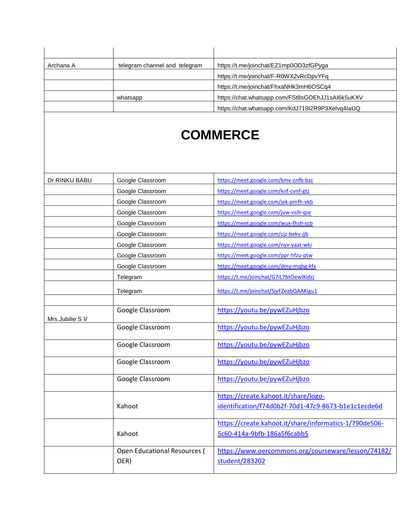| Archana A | telegram channel and telegram | https://t.me/joinchat/EZ1mp0OD3zfGPyga           |
|-----------|-------------------------------|--------------------------------------------------|
|           |                               | https://t.me/joinchat/F-R0WX2vRcDpvYFq           |
|           |                               | https://t.me/joinchat/FhxaNHk3mH6OSCq4           |
|           | whatsapp                      | https://chat.whatsapp.com/FSt8sGOEhJJ1sAl6k5uKXV |
|           |                               | https://chat.whatsapp.com/KdJ719I2R9P3Xelvq4IaUQ |

## **COMMERCE**

| Dr.RINKU BABU   | Google Classroom                    | https://meet.google.com/kmv-cnfb-bzc                   |
|-----------------|-------------------------------------|--------------------------------------------------------|
|                 | Google Classroom                    | https://meet.google.com/knf-cvnf-gtz                   |
|                 | Google Classroom                    | https://meet.google.com/jek-pmfh-vkb                   |
|                 | Google Classroom                    | https://meet.google.com/juw-vsih-gse                   |
|                 | Google Classroom                    | https://meet.google.com/wux-fhsh-ssb                   |
|                 | Google Classroom                    | https://meet.google.com/cjz-bekv-jjb                   |
|                 | Google Classroom                    | https://meet.google.com/nyv-yaat-wki                   |
|                 | Google Classroom                    | https://meet.google.com/ppr-hfzu-ptw                   |
|                 | Google Classroom                    | https://meet.google.com/dmy-mqbg-kfx                   |
|                 | Telegram                            | https://t.me/joinchat/G7iL7btOewlKidzj                 |
|                 | Telegram                            | https://t.me/joinchat/SjyFZeabQAAKIgu1                 |
|                 |                                     |                                                        |
| Mrs.Jubilie S V | Google Classroom                    | https://youtu.be/pywEZuHjbzo                           |
|                 | Google Classroom                    | https://youtu.be/pywEZuHjbzo                           |
|                 | Google Classroom                    | https://youtu.be/pywEZuHjbzo                           |
|                 | Google Classroom                    | https://youtu.be/pywEZuHjbzo                           |
|                 | Google Classroom                    | https://youtu.be/pywEZuHjbzo                           |
|                 |                                     | https://create.kahoot.it/share/logo-                   |
|                 | Kahoot                              | identification/f74d0b2f-70d1-47c9-8673-b1e1c1ecde6d    |
|                 |                                     | https://create.kahoot.it/share/informatics-1/790de506- |
|                 | Kahoot                              | 5c60-414a-9bfb-186a5f6cabb5                            |
|                 | <b>Open Educational Resources (</b> | https://www.oercommons.org/courseware/lesson/74182/    |
|                 | OER)                                | student/283202                                         |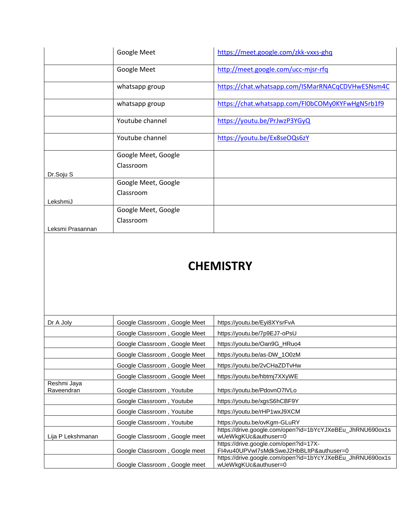|                  | Google Meet         | https://meet.google.com/zkk-vxxs-ghq             |
|------------------|---------------------|--------------------------------------------------|
|                  | Google Meet         | http://meet.google.com/ucc-mjsr-rfq              |
|                  | whatsapp group      | https://chat.whatsapp.com/ISMarRNACqCDVHwESNsm4C |
|                  | whatsapp group      | https://chat.whatsapp.com/Fl0bCOMy0KYFwHgN5rb1f9 |
|                  | Youtube channel     | https://youtu.be/PrJwzP3YGyQ                     |
|                  | Youtube channel     | https://youtu.be/Ex8seOQs6zY                     |
|                  | Google Meet, Google |                                                  |
|                  | Classroom           |                                                  |
| Dr.Soju S        |                     |                                                  |
|                  | Google Meet, Google |                                                  |
|                  | Classroom           |                                                  |
| LekshmiJ         |                     |                                                  |
|                  | Google Meet, Google |                                                  |
|                  | Classroom           |                                                  |
| Leksmi Prasannan |                     |                                                  |

#### **CHEMISTRY**

| Dr A Joly                 | Google Classroom, Google Meet | https://youtu.be/Eyi8XYsrFvA                                                      |
|---------------------------|-------------------------------|-----------------------------------------------------------------------------------|
|                           | Google Classroom, Google Meet | https://youtu.be/7p9EJ7-oPsU                                                      |
|                           | Google Classroom, Google Meet | https://youtu.be/Oan9G_HRuo4                                                      |
|                           | Google Classroom, Google Meet | https://youtu.be/as-DW_1O0zM                                                      |
|                           | Google Classroom, Google Meet | https://youtu.be/2vCHaZDTvHw                                                      |
|                           | Google Classroom, Google Meet | https://youtu.be/hbtmj7XXyWE                                                      |
| Reshmi Jaya<br>Raveendran | Google Classroom, Youtube     | https://youtu.be/PdovnO7IVLo                                                      |
|                           | Google Classroom, Youtube     | https://youtu.be/xgsS6hCBF9Y                                                      |
|                           | Google Classroom, Youtube     | https://youtu.be/rHP1wxJ9XCM                                                      |
|                           | Google Classroom, Youtube     | https://youtu.be/ovKgm-GLuRY                                                      |
| Lija P Lekshmanan         | Google Classroom, Google meet | https://drive.google.com/open?id=1bYcYJXeBEu_JhRNU690ox1s<br>wUeWkgKUc&authuser=0 |
|                           | Google Classroom, Google meet | https://drive.google.com/open?id=17X-<br>FI4vu40UPVwl7sMdkSweJ2HbBLItP&authuser=0 |
|                           | Google Classroom, Google meet | https://drive.google.com/open?id=1bYcYJXeBEu_JhRNU690ox1s<br>wUeWkgKUc&authuser=0 |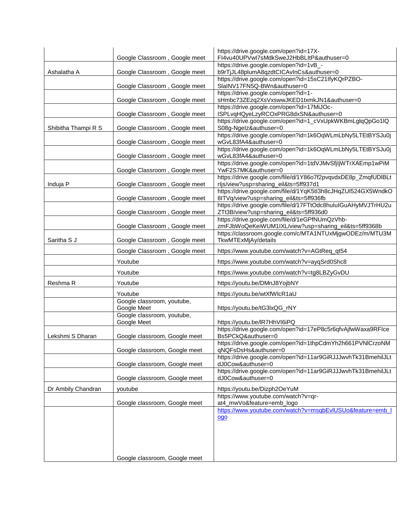|                     | Google Classroom, Google meet                                  | https://drive.google.com/open?id=17X-<br>FI4vu40UPVwl7sMdkSweJ2HbBLltP&authuser=0                      |
|---------------------|----------------------------------------------------------------|--------------------------------------------------------------------------------------------------------|
|                     |                                                                | https://drive.google.com/open?id=1vB_-                                                                 |
| Ashalatha A         | Google Classroom, Google meet                                  | b9rTjJL48plumA8qzdtClCAvInCs&authuser=0                                                                |
|                     | Google Classroom, Google meet                                  | https://drive.google.com/open?id=15sC21lfyKQrPZBO-<br>SlaINV17FN5Q-BWn&authuser=0                      |
|                     | Google Classroom, Google meet                                  | https://drive.google.com/open?id=1-<br>sHmbc73ZEzq2XsVxswwJKED1txmkJN1&authuser=0                      |
|                     | Google Classroom, Google meet                                  | https://drive.google.com/open?id=17MiJOc-<br>ISPLvqHQyeLzyRCOxPRG8dxSN&authuser=0                      |
| Shibitha Thampi R S | Google Classroom, Google meet                                  | https://drive.google.com/open?id=1_cVxUpkWKBmLglqQpGo1lQ<br>S08g-Ngelz&authuser=0                      |
|                     | Google Classroom, Google meet                                  | https://drive.google.com/open?id=1k6OqWLmLbNy5LTEtBYSJu0j<br>wGvL83fA4&authuser=0                      |
|                     | Google Classroom, Google meet                                  | https://drive.google.com/open?id=1k6OqWLmLbNy5LTEtBYSJu0j<br>wGvL83fA4&authuser=0                      |
|                     |                                                                | https://drive.google.com/open?id=1tdVJMvSfjIjWTrXAEmp1wPiM                                             |
|                     | Google Classroom, Google meet                                  | YwF2S7MK&authuser=0                                                                                    |
| Induja P            | Google Classroom, Google meet                                  | https://drive.google.com/file/d/1Y86o7f2pvqvdxDE8p_ZmqfUDIBLt<br>rljs/view?usp=sharing_eil&ts=5ff937d1 |
|                     | Google Classroom, Google meet                                  | https://drive.google.com/file/d/1YqK5tl3h8cJHqZUl524GX5WndkO<br>8ITVq/view?usp=sharing_eil&ts=5ff936fb |
|                     | Google Classroom, Google meet                                  | https://drive.google.com/file/d/17FTtOdc8huIuIGuAHyMVJTrHU2u<br>ZTt3B/view?usp=sharing_eil&ts=5ff936d0 |
|                     | Google Classroom, Google meet                                  | https://drive.google.com/file/d/1eGPfNUmQzVhb-<br>zmFJbWoQeKeiWUM1IXL/view?usp=sharing_eil&ts=5ff9368b |
|                     |                                                                | https://classroom.google.com/c/MTA1NTUxMjgwODEz/m/MTU3M                                                |
| Saritha S J         | Google Classroom, Google meet<br>Google Classroom, Google meet | TkwMTExMjAy/details<br>https://www.youtube.com/watch?v=AGtReq_qt54                                     |
|                     | Youtube                                                        | https://www.youtube.com/watch?v=ayqSrd0Shc8                                                            |
|                     | Youtube                                                        | https://www.youtube.com/watch?v=tg8LBZyGvDU                                                            |
| Reshma R            | Youtube                                                        | https://youtu.be/DMnJ8YojbNY                                                                           |
|                     | Youtube                                                        | https://youtu.be/wtXfWlcR1aU                                                                           |
|                     | Google classroom, youtube,<br>Google Meet                      | https://youtu.be/tG3lxQG_rNY                                                                           |
|                     | Google classroom, youtube,<br>Google Meet                      | https://youtu.be/IR7HhVI6iPQ                                                                           |
| Lekshmi S Dharan    | Google classroom, Google meet                                  | https://drive.google.com/open?id=17eP8c5r6qfvAjfwWaxa9RFIce<br>Bs5PCkQ&authuser=0                      |
|                     | Google classroom, Google meet                                  | https://drive.google.com/open?id=1thpCdmYh2h661PVNlCrzoNM<br>qNQFsDsHs&authuser=0                      |
|                     | Google classroom, Google meet                                  | https://drive.google.com/open?id=11ar9GiRJJJwvhTk31BmehilJLt<br>dJ0Cow&authuser=0                      |
|                     | Google classroom, Google meet                                  | https://drive.google.com/open?id=11ar9GiRJJJwvhTk31BmehilJLt<br>dJ0Cow&authuser=0                      |
| Dr Ambily Chandran  | youtube                                                        | https://youtu.be/Dizph2OeYuM                                                                           |
|                     |                                                                | https://www.youtube.com/watch?v=qr-                                                                    |
|                     | Google classroom, Google meet                                  | at4_mwVo&feature=emb_logo                                                                              |
|                     |                                                                | https://www.youtube.com/watch?v=msqbEvIUSUo&feature=emb_l                                              |
|                     |                                                                | ogo                                                                                                    |
|                     |                                                                |                                                                                                        |
|                     |                                                                |                                                                                                        |
|                     | Google classroom, Google meet                                  |                                                                                                        |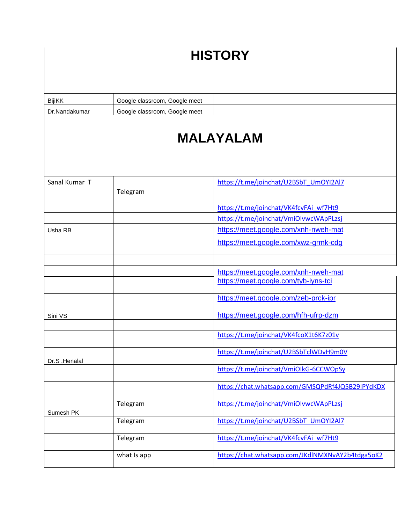## **HISTORY**

| <b>BiiiKK</b> | Google meet<br>Google classroom. |  |
|---------------|----------------------------------|--|
| Dr.Nandakumar | Google meet<br>Google classroom, |  |

#### **MALAYALAM**

| Sanal Kumar T |             | https://t.me/joinchat/U2BSbT_UmOYI2Al7           |
|---------------|-------------|--------------------------------------------------|
|               | Telegram    |                                                  |
|               |             | https://t.me/joinchat/VK4fcvFAi wf7Ht9           |
|               |             | https://t.me/joinchat/VmiOlvwcWApPLzsj           |
| Usha RB       |             | https://meet.google.com/xnh-nweh-mat             |
|               |             | https://meet.google.com/xwz-grmk-cdg             |
|               |             |                                                  |
|               |             | https://meet.google.com/xnh-nweh-mat             |
|               |             | https://meet.google.com/tyb-iyns-tci             |
|               |             | https://meet.google.com/zeb-prck-ipr             |
| Sini VS       |             | https://meet.google.com/hfh-ufrp-dzm             |
|               |             | https://t.me/joinchat/VK4fcoX1t6K7z01v           |
| Dr.S. Henalal |             | https://t.me/joinchat/U2BSbTclWDvH9m0V           |
|               |             | https://t.me/joinchat/VmiOlkG-6CCWOpSy           |
|               |             | https://chat.whatsapp.com/GMSQPdRf4JQ5B29IPYdKDX |
| Sumesh PK     | Telegram    | https://t.me/joinchat/VmiOlvwcWApPLzsj           |
|               | Telegram    | https://t.me/joinchat/U2BSbT_UmOYI2Al7           |
|               | Telegram    | https://t.me/joinchat/VK4fcvFAi wf7Ht9           |
|               | what Is app | https://chat.whatsapp.com/JKdlNMXNvAY2b4tdga5oK2 |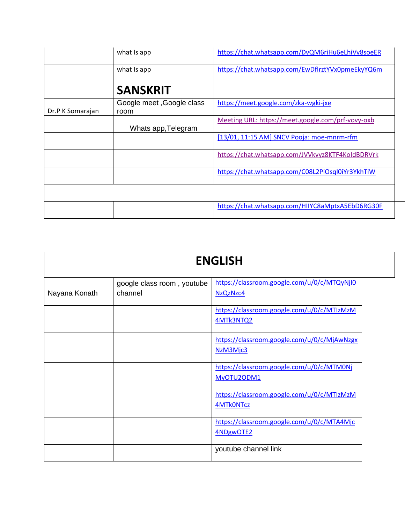|                  | what Is app                       | https://chat.whatsapp.com/DvQM6riHu6eLhiVv8soeER  |
|------------------|-----------------------------------|---------------------------------------------------|
|                  | what Is app                       | https://chat.whatsapp.com/EwDflrztYVx0pmeEkyYQ6m  |
|                  | <b>SANSKRIT</b>                   |                                                   |
| Dr.P K Somarajan | Google meet, Google class<br>room | https://meet.google.com/zka-wgki-jxe              |
|                  | Whats app, Telegram               | Meeting URL: https://meet.google.com/prf-vovy-oxb |
|                  |                                   | [13/01, 11:15 AM] SNCV Pooja: moe-mnrm-rfm        |
|                  |                                   | https://chat.whatsapp.com/JVVkvyz8KTF4KoldBDRVrk  |
|                  |                                   | https://chat.whatsapp.com/C08L2PiOsql0iYr3YkhTiW  |
|                  |                                   |                                                   |
|                  |                                   | https://chat.whatsapp.com/HIIYC8aMptxA5EbD6RG30F  |

| <b>ENGLISH</b> |
|----------------|
|----------------|

| Nayana Konath | google class room, youtube<br>channel | https://classroom.google.com/u/0/c/MTQyNjI0<br>NzQzNzc4        |
|---------------|---------------------------------------|----------------------------------------------------------------|
|               |                                       | https://classroom.google.com/u/0/c/MTIzMzM<br>4MTk3NTQ2        |
|               |                                       | https://classroom.google.com/u/0/c/MjAwNzgx<br>NzM3Mjc3        |
|               |                                       | https://classroom.google.com/u/0/c/MTM0Ni<br>MyOTU2ODM1        |
|               |                                       | https://classroom.google.com/u/0/c/MTIzMzM<br><b>4MTkONTcz</b> |
|               |                                       | https://classroom.google.com/u/0/c/MTA4Mjc<br>4NDgwOTE2        |
|               |                                       | youtube channel link                                           |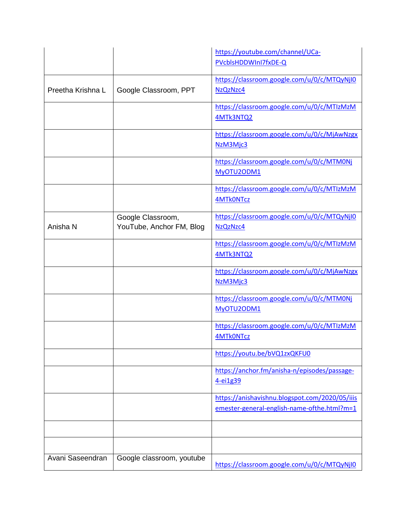|                   |                           | https://youtube.com/channel/UCa-               |
|-------------------|---------------------------|------------------------------------------------|
|                   |                           | PVcblsHDDWInI7fxDE-Q                           |
|                   |                           | https://classroom.google.com/u/0/c/MTQyNjI0    |
| Preetha Krishna L | Google Classroom, PPT     | NzQzNzc4                                       |
|                   |                           | https://classroom.google.com/u/0/c/MTIzMzM     |
|                   |                           | 4MTk3NTQ2                                      |
|                   |                           | https://classroom.google.com/u/0/c/MjAwNzgx    |
|                   |                           | NzM3Mjc3                                       |
|                   |                           | https://classroom.google.com/u/0/c/MTM0Nj      |
|                   |                           | MyOTU2ODM1                                     |
|                   |                           | https://classroom.google.com/u/0/c/MTIzMzM     |
|                   |                           | <b>4MTkONTcz</b>                               |
|                   | Google Classroom,         | https://classroom.google.com/u/0/c/MTQyNjI0    |
| Anisha N          | YouTube, Anchor FM, Blog  | NzQzNzc4                                       |
|                   |                           | https://classroom.google.com/u/0/c/MTIzMzM     |
|                   |                           | 4MTk3NTQ2                                      |
|                   |                           | https://classroom.google.com/u/0/c/MjAwNzgx    |
|                   |                           | NzM3Mjc3                                       |
|                   |                           | https://classroom.google.com/u/0/c/MTM0Nj      |
|                   |                           | MyOTU2ODM1                                     |
|                   |                           | https://classroom.google.com/u/0/c/MTIzMzM     |
|                   |                           | <b>4MTkONTcz</b>                               |
|                   |                           | https://youtu.be/bVQ1zxQKFU0                   |
|                   |                           | https://anchor.fm/anisha-n/episodes/passage-   |
|                   |                           | 4-ei1g39                                       |
|                   |                           | https://anishavishnu.blogspot.com/2020/05/iiis |
|                   |                           | emester-general-english-name-ofthe.html?m=1    |
|                   |                           |                                                |
|                   |                           |                                                |
| Avani Saseendran  | Google classroom, youtube | https://classroom.google.com/u/0/c/MTQyNjI0    |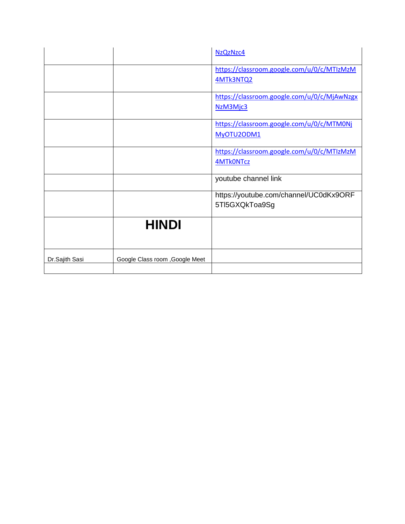|                |                                | NzQzNzc4                                                       |
|----------------|--------------------------------|----------------------------------------------------------------|
|                |                                | https://classroom.google.com/u/0/c/MTIzMzM<br>4MTk3NTQ2        |
|                |                                | https://classroom.google.com/u/0/c/MjAwNzgx<br>NzM3Mjc3        |
|                |                                | https://classroom.google.com/u/0/c/MTM0Nj<br>MyOTU2ODM1        |
|                |                                | https://classroom.google.com/u/0/c/MTIzMzM<br><b>4MTkONTcz</b> |
|                |                                | youtube channel link                                           |
|                |                                | https://youtube.com/channel/UC0dKx9ORF<br>5TI5GXQkToa9Sg       |
|                | <b>HINDI</b>                   |                                                                |
| Dr.Sajith Sasi | Google Class room, Google Meet |                                                                |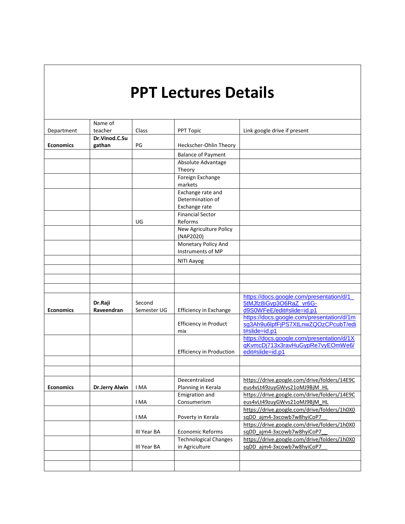|                  |                |             | <b>PPT Lectures Details</b>                     |                                                                                  |
|------------------|----------------|-------------|-------------------------------------------------|----------------------------------------------------------------------------------|
|                  | Name of        |             |                                                 |                                                                                  |
| Department       | teacher        | Class       | PPT Topic                                       | Link google drive if present                                                     |
|                  | Dr.Vinod.C.Su  |             |                                                 |                                                                                  |
| <b>Economics</b> | gathan         | PG          | Heckscher-Ohlin Theory                          |                                                                                  |
|                  |                |             | <b>Balance of Payment</b><br>Absolute Advantage |                                                                                  |
|                  |                |             | Theory                                          |                                                                                  |
|                  |                |             | Foreign Exchange                                |                                                                                  |
|                  |                |             | markets                                         |                                                                                  |
|                  |                |             | Exchange rate and                               |                                                                                  |
|                  |                |             | Determination of                                |                                                                                  |
|                  |                |             | Exchange rate                                   |                                                                                  |
|                  |                | UG          | <b>Financial Sector</b><br>Reforms              |                                                                                  |
|                  |                |             | New Agriculture Policy                          |                                                                                  |
|                  |                |             | (NAP2020)                                       |                                                                                  |
|                  |                |             | Monetary Policy And                             |                                                                                  |
|                  |                |             | Instruments of MP                               |                                                                                  |
|                  |                |             | NITI Aayog                                      |                                                                                  |
|                  |                |             |                                                 |                                                                                  |
|                  |                |             |                                                 |                                                                                  |
|                  |                |             |                                                 |                                                                                  |
|                  |                |             |                                                 | https://docs.google.com/presentation/d/1                                         |
|                  | Dr.Raji        | Second      |                                                 | 5tMJfz8iGvp3O6RaZ_vr6G-                                                          |
| <b>Economics</b> | Raveendran     | Semester UG | Efficiency in Exchange                          | d9S0WFeE/edit#slide=id.p1                                                        |
|                  |                |             | <b>Efficiency in Product</b>                    | https://docs.google.com/presentation/d/1m<br>sg3Ah9u6lpfFjPS7XtLnwZQOzCPcubT/edi |
|                  |                |             | mix                                             | t#slide=id.p1                                                                    |
|                  |                |             |                                                 | https://docs.google.com/presentation/d/1X                                        |
|                  |                |             |                                                 | qKvmcDj713x3ravHuGypRe7vyEOmWe6/                                                 |
|                  |                |             | <b>Efficiency in Production</b>                 | edit#slide=id.p1                                                                 |
|                  |                |             |                                                 |                                                                                  |
|                  |                |             |                                                 |                                                                                  |
|                  |                |             | Deecentralized                                  | https://drive.google.com/drive/folders/14E9C                                     |
| <b>Economics</b> | Dr.Jerry Alwin | I MA        | Planning in Kerala                              | eus4vLt49zuyGWvs21oMJ9BjM HL                                                     |
|                  |                |             | Emigration and                                  | https://drive.google.com/drive/folders/14E9C                                     |
|                  |                | I MA        | Consumerism                                     | eus4vLt49zuyGWvs21oMJ9BjM HL                                                     |
|                  |                | I MA        | Poverty in Kerala                               | https://drive.google.com/drive/folders/1h0X0<br>sqDD ajm4-3xcowb7w8hyiCoP7       |
|                  |                |             |                                                 | https://drive.google.com/drive/folders/1h0X0                                     |
|                  |                | III Year BA | <b>Economic Reforms</b>                         | sqDD ajm4-3xcowb7w8hyiCoP7                                                       |
|                  |                |             | <b>Technological Changes</b>                    | https://drive.google.com/drive/folders/1h0X0                                     |
|                  |                | III Year BA | in Agriculture                                  | sqDD ajm4-3xcowb7w8hyiCoP7                                                       |
|                  |                |             |                                                 |                                                                                  |
|                  |                |             |                                                 |                                                                                  |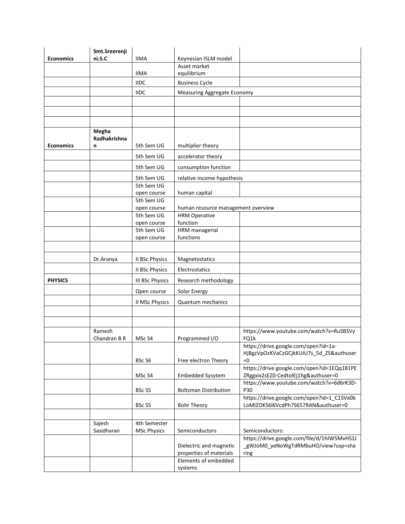|                  | Smt.Sreerenji         |                           |                                                            |                                                                |
|------------------|-----------------------|---------------------------|------------------------------------------------------------|----------------------------------------------------------------|
| <b>Economics</b> | ni.S.C                | <b>IIMA</b>               | Keynesian ISLM model                                       |                                                                |
|                  |                       |                           | Asset market                                               |                                                                |
|                  |                       | <b>IIMA</b>               | equilibrium                                                |                                                                |
|                  |                       | <b>IIDC</b>               | <b>Business Cycle</b>                                      |                                                                |
|                  |                       | <b>IIDC</b>               | <b>Measuring Aggregate Economy</b>                         |                                                                |
|                  |                       |                           |                                                            |                                                                |
|                  |                       |                           |                                                            |                                                                |
|                  |                       |                           |                                                            |                                                                |
|                  |                       |                           |                                                            |                                                                |
|                  | Megha<br>Radhakrishna |                           |                                                            |                                                                |
| <b>Economics</b> | n                     | 5th Sem UG                | multiplier theory                                          |                                                                |
|                  |                       | 5th Sem UG                |                                                            |                                                                |
|                  |                       |                           | accelerator theory                                         |                                                                |
|                  |                       | 5th Sem UG                | consumption function                                       |                                                                |
|                  |                       | 5th Sem UG                | relative income hypothesis                                 |                                                                |
|                  |                       | 5th Sem UG                |                                                            |                                                                |
|                  |                       | open course               | human capital                                              |                                                                |
|                  |                       | 5th Sem UG                |                                                            |                                                                |
|                  |                       | open course<br>5th Sem UG | human resource management overview<br><b>HRM Operative</b> |                                                                |
|                  |                       | open course               | function                                                   |                                                                |
|                  |                       | 5th Sem UG                | HRM managerial                                             |                                                                |
|                  |                       | open course               | functions                                                  |                                                                |
|                  |                       |                           |                                                            |                                                                |
|                  |                       |                           |                                                            |                                                                |
|                  | Dr.Aranya             | <b>II BSc Physics</b>     | Magnetostatics                                             |                                                                |
|                  |                       | <b>II BSc Physics</b>     | Electrostatics                                             |                                                                |
| <b>PHYSICS</b>   |                       | <b>III BSc Physics</b>    | Research methodology                                       |                                                                |
|                  |                       | Open course               | Solar Energy                                               |                                                                |
|                  |                       |                           |                                                            |                                                                |
|                  |                       | <b>II MSc Physics</b>     | Quantum mechanics                                          |                                                                |
|                  |                       |                           |                                                            |                                                                |
|                  |                       |                           |                                                            |                                                                |
|                  | Ramesh                |                           |                                                            | https://www.youtube.com/watch?v=RuSBSVy                        |
|                  | Chandran B R          | MSc S4                    | Programmed I/O                                             | FQ1k                                                           |
|                  |                       |                           |                                                            | https://drive.google.com/open?id=1a-                           |
|                  |                       | BSc S6                    | Free electron Theory                                       | HjBgzVpOzKVaCzGCjkKUIU7s_5d_ZS&authuser<br>$= 0$               |
|                  |                       |                           |                                                            | https://drive.google.com/open?id=1EQq181PE                     |
|                  |                       | MSc <sub>S4</sub>         | <b>Embedded Sysytem</b>                                    | ZRggxix2sEZ0-CedtolEj1hg&authuser=0                            |
|                  |                       |                           |                                                            | https://www.youtube.com/watch?v=6d6rK3D-                       |
|                  |                       | BSc <sub>S5</sub>         | <b>Boltzman Distribution</b>                               | P30                                                            |
|                  |                       |                           |                                                            | https://drive.google.com/open?id=1 C1SVx0b                     |
|                  |                       | BSc <sub>S5</sub>         | <b>Bohr Theory</b>                                         | LoMIZOKS6I6VcdPh7S657RAN&authuser=0                            |
|                  |                       |                           |                                                            |                                                                |
|                  | Sajesh                | 4th Semester              |                                                            |                                                                |
|                  | Sasidharan            | <b>MSc Physics</b>        | Semiconductors                                             | Semiconductors:<br>https://drive.google.com/file/d/1hlW5MvHS1J |
|                  |                       |                           | Dielectric and magnetic                                    | _gWJoM0_yeNoWgTdRMbuHO/view?usp=sha                            |
|                  |                       |                           | properties of materials                                    | ring                                                           |
|                  |                       |                           | Elements of embedded                                       |                                                                |
|                  |                       |                           | systems                                                    |                                                                |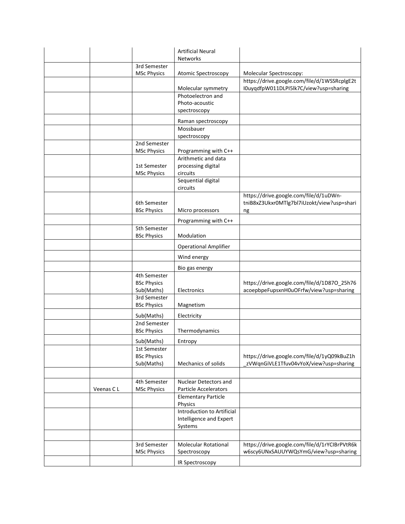|           |                                    | <b>Artificial Neural</b>              |                                                                                      |
|-----------|------------------------------------|---------------------------------------|--------------------------------------------------------------------------------------|
|           |                                    | <b>Networks</b>                       |                                                                                      |
|           | 3rd Semester<br><b>MSc Physics</b> | Atomic Spectroscopy                   | Molecular Spectroscopy:                                                              |
|           |                                    |                                       | https://drive.google.com/file/d/1WSSRcplgE2t                                         |
|           |                                    | Molecular symmetry                    | I0uyqdfpW011DLPI5lk7C/view?usp=sharing                                               |
|           |                                    | Photoelectron and                     |                                                                                      |
|           |                                    | Photo-acoustic                        |                                                                                      |
|           |                                    | spectroscopy                          |                                                                                      |
|           |                                    | Raman spectroscopy                    |                                                                                      |
|           |                                    | Mossbauer                             |                                                                                      |
|           |                                    | spectroscopy                          |                                                                                      |
|           | 2nd Semester                       |                                       |                                                                                      |
|           | <b>MSc Physics</b>                 | Programming with C++                  |                                                                                      |
|           |                                    | Arithmetic and data                   |                                                                                      |
|           | 1st Semester<br><b>MSc Physics</b> | processing digital<br>circuits        |                                                                                      |
|           |                                    | Sequential digital                    |                                                                                      |
|           |                                    | circuits                              |                                                                                      |
|           | 6th Semester                       |                                       | https://drive.google.com/file/d/1uDWn-<br>tniB8xZ3Ukxr0MTlg7bl7iUzokt/view?usp=shari |
|           | <b>BSc Physics</b>                 | Micro processors                      | ng                                                                                   |
|           |                                    | Programming with C++                  |                                                                                      |
|           | 5th Semester                       |                                       |                                                                                      |
|           | <b>BSc Physics</b>                 | Modulation                            |                                                                                      |
|           |                                    | <b>Operational Amplifier</b>          |                                                                                      |
|           |                                    | Wind energy                           |                                                                                      |
|           |                                    | Bio gas energy                        |                                                                                      |
|           | 4th Semester                       |                                       |                                                                                      |
|           | <b>BSc Physics</b>                 |                                       | https://drive.google.com/file/d/1D87O_25h76                                          |
|           | Sub(Maths)                         | Electronics                           | acoepbpeFupsxnH0uOFrfw/view?usp=sharing                                              |
|           | 3rd Semester<br><b>BSc Physics</b> | Magnetism                             |                                                                                      |
|           |                                    |                                       |                                                                                      |
|           | Sub(Maths)                         | Electricity                           |                                                                                      |
|           | 2nd Semester<br><b>BSc Physics</b> | Thermodynamics                        |                                                                                      |
|           |                                    |                                       |                                                                                      |
|           | Sub(Maths)                         | Entropy                               |                                                                                      |
|           | 1st Semester<br><b>BSc Physics</b> |                                       | https://drive.google.com/file/d/1yQ09kBuZ1h                                          |
|           | Sub(Maths)                         | Mechanics of solids                   | zVWqnGiVLE1Tfuv04vYoX/view?usp=sharing                                               |
|           |                                    |                                       |                                                                                      |
|           | 4th Semester                       | Nuclear Detectors and                 |                                                                                      |
| Veenas CL | <b>MSc Physics</b>                 | Particle Accelerators                 |                                                                                      |
|           |                                    | <b>Elementary Particle</b><br>Physics |                                                                                      |
|           |                                    | Introduction to Artificial            |                                                                                      |
|           |                                    | Intelligence and Expert               |                                                                                      |
|           |                                    | Systems                               |                                                                                      |
|           |                                    |                                       |                                                                                      |
|           | 3rd Semester                       | <b>Molecular Rotational</b>           | https://drive.google.com/file/d/1rYCIBrPVtR6k                                        |
|           | <b>MSc Physics</b>                 | Spectroscopy                          | w6scy6UNxSAUUYWQsYmG/view?usp=sharing                                                |
|           |                                    | IR Spectroscopy                       |                                                                                      |
|           |                                    |                                       |                                                                                      |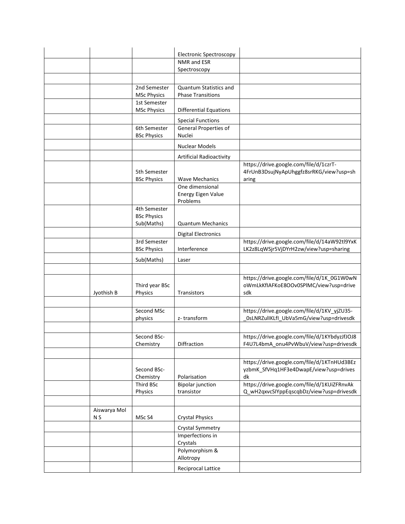|                     |                                                  | <b>Electronic Spectroscopy</b>                    |                                                                                             |
|---------------------|--------------------------------------------------|---------------------------------------------------|---------------------------------------------------------------------------------------------|
|                     |                                                  | NMR and ESR                                       |                                                                                             |
|                     |                                                  | Spectroscopy                                      |                                                                                             |
|                     |                                                  |                                                   |                                                                                             |
|                     | 2nd Semester                                     | <b>Quantum Statistics and</b>                     |                                                                                             |
|                     | <b>MSc Physics</b>                               | <b>Phase Transitions</b>                          |                                                                                             |
|                     | 1st Semester                                     |                                                   |                                                                                             |
|                     | <b>MSc Physics</b>                               | <b>Differential Equations</b>                     |                                                                                             |
|                     |                                                  | <b>Special Functions</b>                          |                                                                                             |
|                     | 6th Semester<br><b>BSc Physics</b>               | General Properties of<br>Nuclei                   |                                                                                             |
|                     |                                                  | <b>Nuclear Models</b>                             |                                                                                             |
|                     |                                                  | Artificial Radioactivity                          |                                                                                             |
|                     | 5th Semester<br><b>BSc Physics</b>               | <b>Wave Mechanics</b>                             | https://drive.google.com/file/d/1czrT-<br>4FrUnB3DsujNyApUhggfz8srRKG/view?usp=sh<br>aring  |
|                     |                                                  | One dimensional<br>Energy Eigen Value<br>Problems |                                                                                             |
|                     | 4th Semester<br><b>BSc Physics</b><br>Sub(Maths) | <b>Quantum Mechanics</b>                          |                                                                                             |
|                     |                                                  | <b>Digital Electronics</b>                        |                                                                                             |
|                     | 3rd Semester<br><b>BSc Physics</b>               | Interference                                      | https://drive.google.com/file/d/14aW92tl9YxK<br>LK2z8LqWSjr5VjDYrH2zw/view?usp=sharing      |
|                     | Sub(Maths)                                       | Laser                                             |                                                                                             |
|                     |                                                  |                                                   |                                                                                             |
| Jyothish B          | Third year BSc<br>Physics                        | <b>Transistors</b>                                | https://drive.google.com/file/d/1K_0G1W0wN<br>oWmLkKfIAFKoE8OOv0SPIMC/view?usp=drive<br>sdk |
|                     |                                                  |                                                   |                                                                                             |
|                     | Second MSc<br>physics                            | z-transform                                       | https://drive.google.com/file/d/1KV_yjZU35-<br>OsLNRZulIKLfI_UbVa5mG/view?usp=drivesdk      |
|                     |                                                  |                                                   |                                                                                             |
|                     | Second BSc-<br>Chemistry                         | Diffraction                                       | https://drive.google.com/file/d/1KYbdyzJfJOJ8<br>F4U7L4bmA_onu4PvWbuV/view?usp=drivesdk     |
|                     |                                                  |                                                   |                                                                                             |
|                     | Second BSc-<br>Chemistry                         | Polarisation                                      | https://drive.google.com/file/d/1KTnHUd3BEz<br>yzbmK SfVHq1HF3e4DwapE/view?usp=drives<br>dk |
|                     | Third BSc                                        | <b>Bipolar junction</b>                           | https://drive.google.com/file/d/1KUiZFRnvAk                                                 |
|                     | Physics                                          | transistor                                        | Q wH2qxvcSIYppEqscqbDz/view?usp=drivesdk                                                    |
|                     |                                                  |                                                   |                                                                                             |
| Aiswarya Mol<br>N S | MSc S4                                           | <b>Crystal Physics</b>                            |                                                                                             |
|                     |                                                  | Crystal Symmetry                                  |                                                                                             |
|                     |                                                  | Imperfections in                                  |                                                                                             |
|                     |                                                  | Crystals<br>Polymorphism &                        |                                                                                             |
|                     |                                                  | Allotropy                                         |                                                                                             |
|                     |                                                  | Reciprocal Lattice                                |                                                                                             |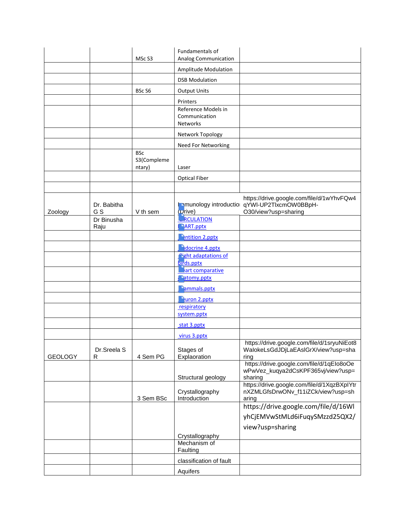|                |                    | MSc <sub>S3</sub>                   | Fundamentals of<br><b>Analog Communication</b>               |                                                                                                                  |
|----------------|--------------------|-------------------------------------|--------------------------------------------------------------|------------------------------------------------------------------------------------------------------------------|
|                |                    |                                     | <b>Amplitude Modulation</b>                                  |                                                                                                                  |
|                |                    |                                     | <b>DSB Modulation</b>                                        |                                                                                                                  |
|                |                    |                                     |                                                              |                                                                                                                  |
|                |                    | BSc <sub>S6</sub>                   | <b>Output Units</b>                                          |                                                                                                                  |
|                |                    |                                     | Printers<br>Reference Models in<br>Communication<br>Networks |                                                                                                                  |
|                |                    |                                     | Network Topology                                             |                                                                                                                  |
|                |                    |                                     | Need For Networking                                          |                                                                                                                  |
|                |                    | <b>BSc</b><br>S3(Compleme<br>ntary) | Laser                                                        |                                                                                                                  |
|                |                    |                                     | <b>Optical Fiber</b>                                         |                                                                                                                  |
|                |                    |                                     |                                                              |                                                                                                                  |
| Zoology        | Dr. Babitha<br>G S | V th sem                            | $(\mathbf{D}^{\mathsf{rive}})$                               | https://drive.google.com/file/d/1wYhvFQw4<br>munology introductior qYWI-UP2TIxcmOW0BBpH-<br>O30/view?usp=sharing |
|                | Dr Binusha<br>Raju |                                     | <b>RCULATION</b><br><b>ART.pptx</b>                          |                                                                                                                  |
|                |                    |                                     | <b>Intition 2.pptx</b>                                       |                                                                                                                  |
|                |                    |                                     | docrine 4.pptx                                               |                                                                                                                  |
|                |                    |                                     | <b><i><u>Fight</u></i></b> adaptations of<br>birds.pptx      |                                                                                                                  |
|                |                    |                                     | <b>Part comparative</b><br><b>Latomy.pptx</b>                |                                                                                                                  |
|                |                    |                                     | ammals.pptx                                                  |                                                                                                                  |
|                |                    |                                     | Puron 2.pptx                                                 |                                                                                                                  |
|                |                    |                                     | respiratory<br>system.pptx                                   |                                                                                                                  |
|                |                    |                                     | stat 3.pptx                                                  |                                                                                                                  |
|                |                    |                                     | virus 3.pptx                                                 |                                                                                                                  |
| <b>GEOLOGY</b> | Dr.Sreela S<br>R   | 4 Sem PG                            | Stages of<br>Explaoration                                    | https://drive.google.com/file/d/1sryuNiEot8<br>WalokeLsGdJDjLaEAslGrX/view?usp=sha<br>ring                       |
|                |                    |                                     | Structural geology                                           | https://drive.google.com/file/d/1qElo8oOe<br>wPwVez_kuqya2dCsKPF365vj/view?usp=<br>sharing                       |
|                |                    | 3 Sem BSc                           | Crystallography<br>Introduction                              | https://drive.google.com/file/d/1XqzBXplYtr<br>nXZMLGfsDrwONv_f11iZCk/view?usp=sh<br>aring                       |
|                |                    |                                     |                                                              | https://drive.google.com/file/d/16Wl                                                                             |
|                |                    |                                     |                                                              | yhCjEMVwStMLd6iFuqySMzzd25QX2/                                                                                   |
|                |                    |                                     |                                                              | view?usp=sharing                                                                                                 |
|                |                    |                                     | Crystallography                                              |                                                                                                                  |
|                |                    |                                     | Mechanism of<br>Faulting                                     |                                                                                                                  |
|                |                    |                                     | classification of fault                                      |                                                                                                                  |
|                |                    |                                     | Aquifers                                                     |                                                                                                                  |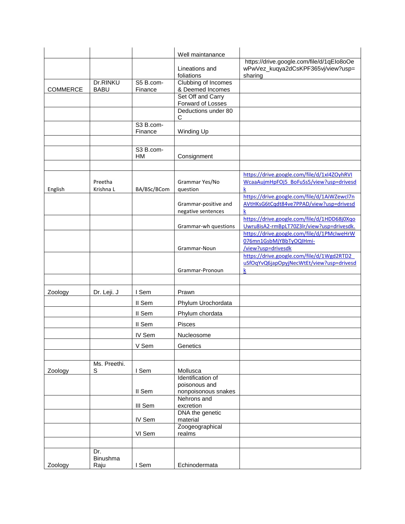|                 |                        |                      | Well maintanance                       |                                                                                            |
|-----------------|------------------------|----------------------|----------------------------------------|--------------------------------------------------------------------------------------------|
|                 |                        |                      | Lineations and<br>foliations           | https://drive.google.com/file/d/1qElo8oOe<br>wPwVez_kuqya2dCsKPF365vj/view?usp=<br>sharing |
|                 | Dr.RINKU               | S5 B.com-            | Clubbing of Incomes                    |                                                                                            |
| <b>COMMERCE</b> | <b>BABU</b>            | Finance              | & Deemed Incomes                       |                                                                                            |
|                 |                        |                      | Set Off and Carry<br>Forward of Losses |                                                                                            |
|                 |                        |                      | Deductions under 80                    |                                                                                            |
|                 |                        |                      | С                                      |                                                                                            |
|                 |                        | S3 B.com-<br>Finance | Winding Up                             |                                                                                            |
|                 |                        | S3 B.com-            |                                        |                                                                                            |
|                 |                        | HМ                   | Consignment                            |                                                                                            |
|                 |                        |                      |                                        | https://drive.google.com/file/d/1xI4ZOyhRVI                                                |
|                 | Preetha                |                      | Grammar Yes/No                         | WcaaAujmHpFOj5_BoFuSs5/view?usp=drivesd                                                    |
| English         | Krishna L              | BA/BSc/BCom          | question                               | k                                                                                          |
|                 |                        |                      |                                        | https://drive.google.com/file/d/1AiWZewcl7n                                                |
|                 |                        |                      | Grammar-positive and                   | AVtHKsG6tCqdt84ve7PPAD/view?usp=drivesd                                                    |
|                 |                        |                      | negative sentences                     | k                                                                                          |
|                 |                        |                      |                                        | https://drive.google.com/file/d/1HDD68j0Xqo                                                |
|                 |                        |                      | Grammar-wh questions                   | Uwru8isA2-rmBpLT70Z3lr/view?usp=drivesdk.                                                  |
|                 |                        |                      |                                        | https://drive.google.com/file/d/1PMcIweHrW<br>076mn1GsbMjYBbTyOQIHmi-                      |
|                 |                        |                      | Grammar-Noun                           | /view?usp=drivesdk                                                                         |
|                 |                        |                      |                                        | https://drive.google.com/file/d/1Wgd2RTD2                                                  |
|                 |                        |                      |                                        | uSfOqYvQ6japOpyjNecWtEt/view?usp=drivesd                                                   |
|                 |                        |                      | Grammar-Pronoun                        | k                                                                                          |
|                 |                        |                      |                                        |                                                                                            |
| Zoology         | Dr. Leji. J            | I Sem                | Prawn                                  |                                                                                            |
|                 |                        | II Sem               | Phylum Urochordata                     |                                                                                            |
|                 |                        | II Sem               | Phylum chordata                        |                                                                                            |
|                 |                        | II Sem               | <b>Pisces</b>                          |                                                                                            |
|                 |                        | IV Sem               | Nucleosome                             |                                                                                            |
|                 |                        | V Sem                | Genetics                               |                                                                                            |
|                 |                        |                      |                                        |                                                                                            |
| Zoology         | Ms. Preethi.<br>S      | I Sem                | Mollusca                               |                                                                                            |
|                 |                        |                      | Identification of                      |                                                                                            |
|                 |                        |                      | poisonous and                          |                                                                                            |
|                 |                        | II Sem               | nonpoisonous snakes                    |                                                                                            |
|                 |                        |                      | Nehrons and                            |                                                                                            |
|                 |                        | III Sem              | excretion<br>DNA the genetic           |                                                                                            |
|                 |                        | IV Sem               | material                               |                                                                                            |
|                 |                        |                      | Zoogeographical                        |                                                                                            |
|                 |                        | VI Sem               | realms                                 |                                                                                            |
|                 |                        |                      |                                        |                                                                                            |
|                 | Dr.<br><b>Binushma</b> |                      |                                        |                                                                                            |
| Zoology         | Raju                   | I Sem                | Echinodermata                          |                                                                                            |